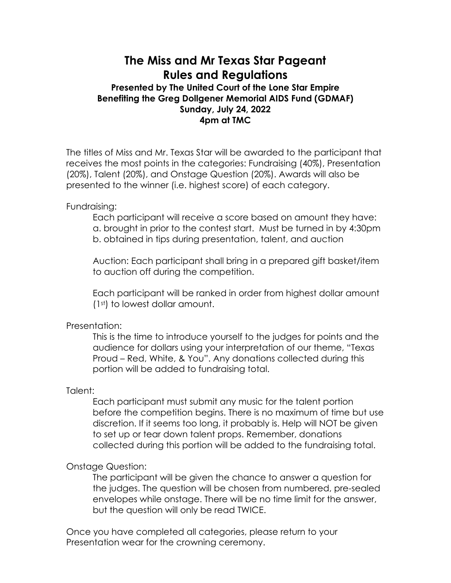# **The Miss and Mr Texas Star Pageant Rules and Regulations**

## **Presented by The United Court of the Lone Star Empire Benefiting the Greg Dollgener Memorial AIDS Fund (GDMAF) Sunday, July 24, 2022 4pm at TMC**

The titles of Miss and Mr. Texas Star will be awarded to the participant that receives the most points in the categories: Fundraising (40%), Presentation (20%), Talent (20%), and Onstage Question (20%). Awards will also be presented to the winner (i.e. highest score) of each category.

Fundraising:

Each participant will receive a score based on amount they have: a. brought in prior to the contest start. Must be turned in by 4:30pm b. obtained in tips during presentation, talent, and auction

Auction: Each participant shall bring in a prepared gift basket/item to auction off during the competition.

Each participant will be ranked in order from highest dollar amount (1st) to lowest dollar amount.

## Presentation:

This is the time to introduce yourself to the judges for points and the audience for dollars using your interpretation of our theme, "Texas Proud – Red, White, & You". Any donations collected during this portion will be added to fundraising total.

### Talent:

Each participant must submit any music for the talent portion before the competition begins. There is no maximum of time but use discretion. If it seems too long, it probably is. Help will NOT be given to set up or tear down talent props. Remember, donations collected during this portion will be added to the fundraising total.

### Onstage Question:

The participant will be given the chance to answer a question for the judges. The question will be chosen from numbered, pre-sealed envelopes while onstage. There will be no time limit for the answer, but the question will only be read TWICE.

Once you have completed all categories, please return to your Presentation wear for the crowning ceremony.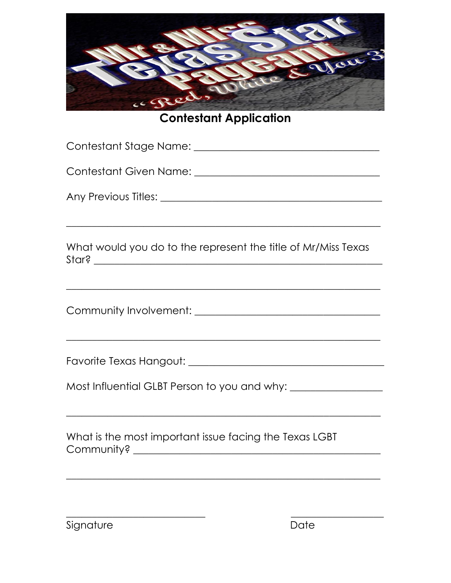

**Contestant Application** 

| What would you do to the represent the title of Mr/Miss Texas                    |  |
|----------------------------------------------------------------------------------|--|
|                                                                                  |  |
|                                                                                  |  |
|                                                                                  |  |
|                                                                                  |  |
| Most Influential GLBT Person to you and why: ___________________________________ |  |
|                                                                                  |  |
| What is the most important issue facing the Texas LGBT                           |  |
|                                                                                  |  |
|                                                                                  |  |